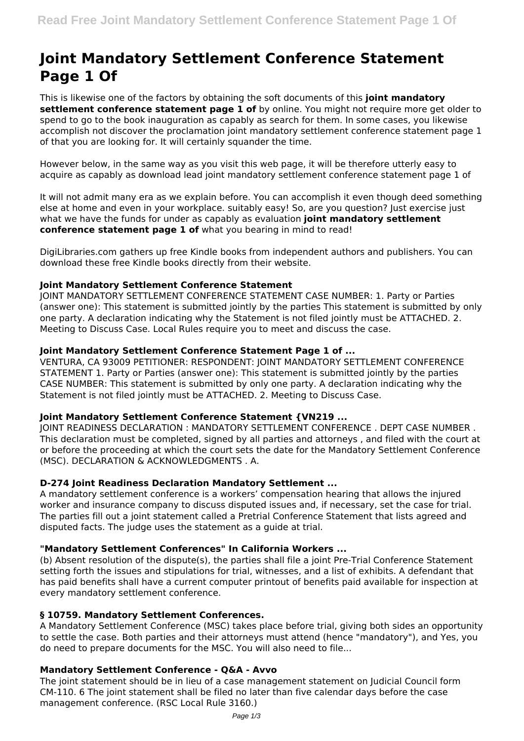# **Joint Mandatory Settlement Conference Statement Page 1 Of**

This is likewise one of the factors by obtaining the soft documents of this **joint mandatory settlement conference statement page 1 of** by online. You might not require more get older to spend to go to the book inauguration as capably as search for them. In some cases, you likewise accomplish not discover the proclamation joint mandatory settlement conference statement page 1 of that you are looking for. It will certainly squander the time.

However below, in the same way as you visit this web page, it will be therefore utterly easy to acquire as capably as download lead joint mandatory settlement conference statement page 1 of

It will not admit many era as we explain before. You can accomplish it even though deed something else at home and even in your workplace. suitably easy! So, are you question? Just exercise just what we have the funds for under as capably as evaluation **joint mandatory settlement conference statement page 1 of** what you bearing in mind to read!

DigiLibraries.com gathers up free Kindle books from independent authors and publishers. You can download these free Kindle books directly from their website.

# **Joint Mandatory Settlement Conference Statement**

JOINT MANDATORY SETTLEMENT CONFERENCE STATEMENT CASE NUMBER: 1. Party or Parties (answer one): This statement is submitted jointly by the parties This statement is submitted by only one party. A declaration indicating why the Statement is not filed jointly must be ATTACHED. 2. Meeting to Discuss Case. Local Rules require you to meet and discuss the case.

# **Joint Mandatory Settlement Conference Statement Page 1 of ...**

VENTURA, CA 93009 PETITIONER: RESPONDENT: JOINT MANDATORY SETTLEMENT CONFERENCE STATEMENT 1. Party or Parties (answer one): This statement is submitted jointly by the parties CASE NUMBER: This statement is submitted by only one party. A declaration indicating why the Statement is not filed jointly must be ATTACHED. 2. Meeting to Discuss Case.

# **Joint Mandatory Settlement Conference Statement {VN219 ...**

JOINT READINESS DECLARATION : MANDATORY SETTLEMENT CONFERENCE . DEPT CASE NUMBER . This declaration must be completed, signed by all parties and attorneys , and filed with the court at or before the proceeding at which the court sets the date for the Mandatory Settlement Conference (MSC). DECLARATION & ACKNOWLEDGMENTS . A.

# **D-274 Joint Readiness Declaration Mandatory Settlement ...**

A mandatory settlement conference is a workers' compensation hearing that allows the injured worker and insurance company to discuss disputed issues and, if necessary, set the case for trial. The parties fill out a joint statement called a Pretrial Conference Statement that lists agreed and disputed facts. The judge uses the statement as a guide at trial.

# **"Mandatory Settlement Conferences" In California Workers ...**

(b) Absent resolution of the dispute(s), the parties shall file a joint Pre-Trial Conference Statement setting forth the issues and stipulations for trial, witnesses, and a list of exhibits. A defendant that has paid benefits shall have a current computer printout of benefits paid available for inspection at every mandatory settlement conference.

# **§ 10759. Mandatory Settlement Conferences.**

A Mandatory Settlement Conference (MSC) takes place before trial, giving both sides an opportunity to settle the case. Both parties and their attorneys must attend (hence "mandatory"), and Yes, you do need to prepare documents for the MSC. You will also need to file...

# **Mandatory Settlement Conference - Q&A - Avvo**

The joint statement should be in lieu of a case management statement on Judicial Council form CM-110. 6 The joint statement shall be filed no later than five calendar days before the case management conference. (RSC Local Rule 3160.)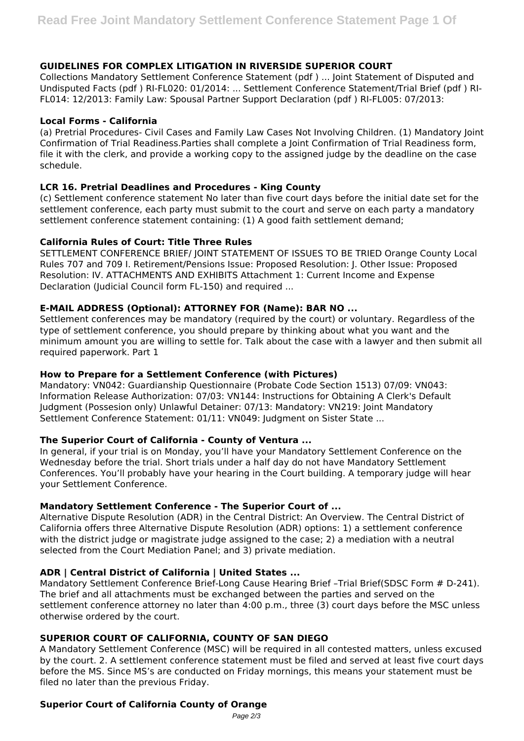# **GUIDELINES FOR COMPLEX LITIGATION IN RIVERSIDE SUPERIOR COURT**

Collections Mandatory Settlement Conference Statement (pdf ) ... Joint Statement of Disputed and Undisputed Facts (pdf ) RI-FL020: 01/2014: ... Settlement Conference Statement/Trial Brief (pdf ) RI-FL014: 12/2013: Family Law: Spousal Partner Support Declaration (pdf ) RI-FL005: 07/2013:

### **Local Forms - California**

(a) Pretrial Procedures- Civil Cases and Family Law Cases Not Involving Children. (1) Mandatory Joint Confirmation of Trial Readiness.Parties shall complete a Joint Confirmation of Trial Readiness form, file it with the clerk, and provide a working copy to the assigned judge by the deadline on the case schedule.

# **LCR 16. Pretrial Deadlines and Procedures - King County**

(c) Settlement conference statement No later than five court days before the initial date set for the settlement conference, each party must submit to the court and serve on each party a mandatory settlement conference statement containing: (1) A good faith settlement demand;

#### **California Rules of Court: Title Three Rules**

SETTLEMENT CONFERENCE BRIEF/ JOINT STATEMENT OF ISSUES TO BE TRIED Orange County Local Rules 707 and 709 I. Retirement/Pensions Issue: Proposed Resolution: J. Other Issue: Proposed Resolution: IV. ATTACHMENTS AND EXHIBITS Attachment 1: Current Income and Expense Declaration (Judicial Council form FL-150) and required ...

#### **E-MAIL ADDRESS (Optional): ATTORNEY FOR (Name): BAR NO ...**

Settlement conferences may be mandatory (required by the court) or voluntary. Regardless of the type of settlement conference, you should prepare by thinking about what you want and the minimum amount you are willing to settle for. Talk about the case with a lawyer and then submit all required paperwork. Part 1

### **How to Prepare for a Settlement Conference (with Pictures)**

Mandatory: VN042: Guardianship Questionnaire (Probate Code Section 1513) 07/09: VN043: Information Release Authorization: 07/03: VN144: Instructions for Obtaining A Clerk's Default Judgment (Possesion only) Unlawful Detainer: 07/13: Mandatory: VN219: Joint Mandatory Settlement Conference Statement: 01/11: VN049: Judgment on Sister State ...

# **The Superior Court of California - County of Ventura ...**

In general, if your trial is on Monday, you'll have your Mandatory Settlement Conference on the Wednesday before the trial. Short trials under a half day do not have Mandatory Settlement Conferences. You'll probably have your hearing in the Court building. A temporary judge will hear your Settlement Conference.

# **Mandatory Settlement Conference - The Superior Court of ...**

Alternative Dispute Resolution (ADR) in the Central District: An Overview. The Central District of California offers three Alternative Dispute Resolution (ADR) options: 1) a settlement conference with the district judge or magistrate judge assigned to the case; 2) a mediation with a neutral selected from the Court Mediation Panel; and 3) private mediation.

# **ADR | Central District of California | United States ...**

Mandatory Settlement Conference Brief-Long Cause Hearing Brief -Trial Brief(SDSC Form # D-241). The brief and all attachments must be exchanged between the parties and served on the settlement conference attorney no later than 4:00 p.m., three (3) court days before the MSC unless otherwise ordered by the court.

# **SUPERIOR COURT OF CALIFORNIA, COUNTY OF SAN DIEGO**

A Mandatory Settlement Conference (MSC) will be required in all contested matters, unless excused by the court. 2. A settlement conference statement must be filed and served at least five court days before the MS. Since MS's are conducted on Friday mornings, this means your statement must be filed no later than the previous Friday.

# **Superior Court of California County of Orange**